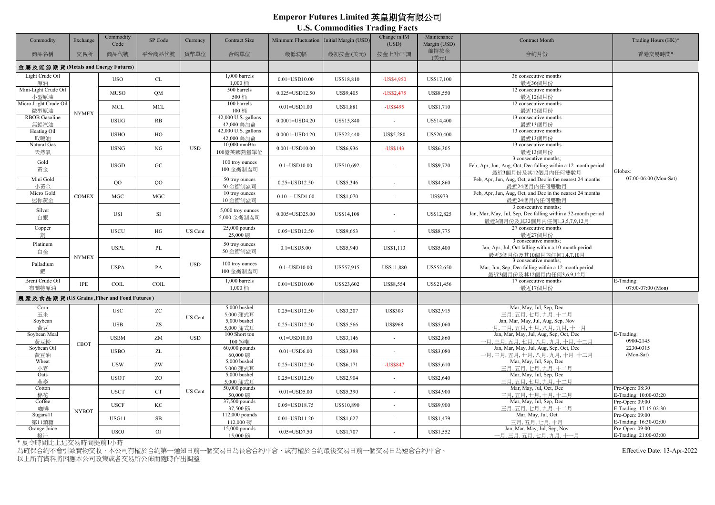## **Emperor Futures Limited 英皇期貨有限公司**

**U.S. Commodities Trading Facts**

| Commodity                           | Exchange                                   | Commodity<br>Code | SP Code     | Currency   | <b>Contract Size</b>                    | Minimum Fluctuation | Initial Margin (USD) | Change in IM<br>(USD)    | Maintenance<br>Margin (USD) | <b>Contract Month</b>                                                                                                  | Trading Hours (HK)*                         |
|-------------------------------------|--------------------------------------------|-------------------|-------------|------------|-----------------------------------------|---------------------|----------------------|--------------------------|-----------------------------|------------------------------------------------------------------------------------------------------------------------|---------------------------------------------|
| 商品名稱                                | 交易所                                        | 商品代號              | 平台商品代號      | 貨幣單位       | 合約單位                                    | 最低波幅                | 最初按金(美元)             | 按金上升/下調                  | 維持按金<br>(美元)                | 合約月份                                                                                                                   | 香港交易時間*                                     |
| 金屬及能源期貨 (Metals and Energy Futures) |                                            |                   |             |            |                                         |                     |                      |                          |                             |                                                                                                                        |                                             |
| Light Crude Oil<br>原油               |                                            | <b>USO</b>        | CL          |            | 1,000 barrels<br>1,000 桶                | $0.01 = USD10.00$   | US\$18,810           | -US\$4,950               | US\$17,100                  | 36 consecutive months<br>最近36個月份                                                                                       |                                             |
| Mini-Light Crude Oil<br>小型原油        | <b>NYMEX</b>                               | <b>MUSO</b>       | QM          |            | 500 barrels<br>500 桶                    | $0.025 = USD12.50$  | US\$9,405            | $-US$2,475$              | US\$8,550                   | 12 consecutive months<br>最近12個月份                                                                                       | Globex:<br>07:00-06:00 (Mon-Sat)            |
| Micro-Light Crude Oil<br>微型原油       |                                            | <b>MCL</b>        | <b>MCL</b>  | <b>USD</b> | 100 barrels<br>100 桶                    | $0.01 = USD1.00$    | US\$1,881            | -US\$495                 | US\$1,710                   | 12 consecutive months<br>最近12個月份                                                                                       |                                             |
| <b>RBOB</b> Gasoline<br>無鉛汽油        |                                            | <b>USUG</b>       | RB          |            | 42,000 U.S. gallons<br>42,000 美加侖       | $0.0001 = USD4.20$  | US\$15,840           |                          | US\$14,400                  | 13 consecutive months<br>最近13個月份                                                                                       |                                             |
| Heating Oil<br>取暖油                  |                                            | <b>USHO</b>       | HO          |            | 42,000 U.S. gallons<br>42,000 美加侖       | $0.0001 = USD4.20$  | US\$22,440           | US\$5,280                | US\$20,400                  | 13 consecutive months<br>最近13個月份                                                                                       |                                             |
| Natural Gas<br>天然氣                  |                                            | <b>USNG</b>       | NG          |            | 10,000 mmBtu<br>100億英國熱量單位              | $0.001 = USD10.00$  | US\$6,936            | -US\$143                 | US\$6,305                   | 13 consecutive months<br>最近13個月份                                                                                       |                                             |
| Gold<br>黃金                          |                                            | <b>USGD</b>       | $G_{\rm C}$ |            | 100 troy ounces<br>100 金衡制盎司            | $0.1 = USD10.00$    | US\$10,692           | ٠                        | US\$9,720                   | 3 consecutive months:<br>Feb, Apr, Jun, Aug, Oct, Dec falling within a 12-month period<br>最近3個月份及其12個月內任何雙數月           |                                             |
| Mini Gold<br>小黃金                    |                                            | $_{\rm OO}$       | $_{\rm OO}$ |            | 50 troy ounces<br>50 金衝制盎司              | $0.25 = USD12.50$   | US\$5,346            |                          | US\$4,860                   | Feb, Apr, Jun, Aug, Oct, and Dec in the nearest 24 months<br>最近24個月內任何雙數月                                              |                                             |
| Micro Gold<br>迷你黄金                  | <b>COMEX</b>                               | $_{\mathrm{MGC}}$ | <b>MGC</b>  |            | $\overline{10}$ troy ounces<br>10 金衡制盎司 | $0.10 = USD1.00$    | US\$1,070            |                          | <b>US\$973</b>              | Feb, Apr, Jun, Aug, Oct, and Dec in the nearest 24 months<br>最近24個月內任何雙數月                                              |                                             |
| Silver<br>白銀                        |                                            | USI               | SI          |            | 5,000 troy ounces<br>5,000 金衡制盎司        | 0.005=USD25.00      | US\$14,108           | $\overline{\phantom{a}}$ | US\$12,825                  | 3 consecutive months;<br>Jan, Mar, May, Jul, Sep, Dec falling within a 32-month period<br>最近3個月份及其32個月內任何1,3,5,7,9,12月 |                                             |
| Copper<br>銅                         |                                            | <b>USCU</b>       | HG          | US Cent    | $25,000$ pounds<br>25,000磅              | $0.05 = USD12.50$   | US\$9,653            |                          | US\$8,775                   | 27 consecutive months<br>最近27個月份                                                                                       |                                             |
| Platinum<br>白金                      | <b>NYMEX</b>                               | <b>USPL</b>       | PL          |            | 50 troy ounces<br>50 金衡制盎司              | $0.1 = USD5.00$     | US\$5,940            | US\$1,113                | US\$5,400                   | 3 consecutive months:<br>Jan, Apr, Jul, Oct falling within a 10-month period<br>最近3個月份及其10個月內仟何1.4.7.10月               |                                             |
| Palladium<br>鈀                      |                                            | <b>USPA</b>       | PA          | <b>USD</b> | 100 troy ounces<br>100 金衡制盎司            | $0.1 = USD10.00$    | US\$57,915           | US\$11,880               | US\$52,650                  | 3 consecutive months;<br>Mar, Jun, Sep, Dec falling within a 12-month period<br>最近3個月份及其12個月內任何3,6,9,12月               |                                             |
| Brent Crude Oil<br>布蘭特原油            | <b>IPE</b>                                 | COL               | COIL        |            | 1,000 barrels<br>1,000 桶                | $0.01 = USD10.00$   | US\$23,602           | US\$8,554                | US\$21,456                  | 17 consecutive months<br>最近17個月份                                                                                       | E-Trading:<br>07:00-07:00 (Mon)             |
|                                     | 農產及食品期貨(US Grains, Fiber and Food Futures) |                   |             |            |                                         |                     |                      |                          |                             |                                                                                                                        |                                             |
| Corn<br>玉米                          |                                            | <b>USC</b>        | ZC          | US Cent    | 5,000 bushel<br>5,000 蒲式耳               | $0.25 = USD12.50$   | US\$3,207            | <b>US\$303</b>           | US\$2,915                   | Mar, May, Jul, Sep, Dec<br>三月,五月,七月,九月,十二月                                                                             |                                             |
| Soybean<br>黄豆                       |                                            | <b>USB</b>        | ZS          |            | 5,000 bushel<br>5,000 蒲式耳               | 0.25=USD12.50       | US\$5,566            | <b>US\$968</b>           | US\$5,060                   | Jan, Mar, May, Jul, Aug, Sep, Nov<br>一月, 三月, 五月, 七月, 八月, 九月, 十一月                                                       |                                             |
| Soybean Meal<br>黃豆粉                 | <b>CBOT</b>                                | <b>USBM</b>       | ZM          | <b>USD</b> | 100 Short ton<br>100 短噸                 | $0.1 = USD10.00$    | US\$3,146            |                          | US\$2,860                   | Jan, Mar, May, Jul, Aug, Sep, Oct, Dec<br>一月, 三月, 五月, 七月, 八月, 九月, 十月, 十二月                                              | E-Trading:<br>0900-2145                     |
| Soybean Oil<br>黄豆油                  |                                            | <b>USBO</b>       | ZL          | US Cent    | $60,000$ pounds<br>60,000磅              | $0.01 = USD6.00$    | US\$3,388            |                          | US\$3,080                   | Jan, Mar, May, Jul, Aug, Sep, Oct, Dec<br>一月、三月、五月、七月、八月、九月、十月 十二月                                                     | 2230-0315<br>(Mon-Sat)                      |
| Wheat<br>小麥                         |                                            | <b>USW</b>        | ZW          |            | 5,000 bushel<br>5,000 蒲式耳               | $0.25 = USD12.50$   | US\$6,171            | -US\$847                 | US\$5,610                   | Mar, May, Jul, Sep, Dec<br>三月, 五月, 七月, 九月, 十二月                                                                         |                                             |
| Oats<br>基麥                          |                                            | <b>USOT</b>       | ZO          |            | $5,000$ bushel<br>5,000 蒲式耳             | 0.25=USD12.50       | US\$2,904            | i.                       | US\$2,640                   | Mar, May, Jul, Sep, Dec<br>三月,五月,七月,九月,十二月                                                                             |                                             |
| Cotton<br>棉花                        |                                            | <b>USCT</b>       | CT          |            | 50,000 pounds<br>50,000磅                | $0.01 = USD5.00$    | US\$5,390            |                          | US\$4,900                   | Mar, May, Jul, Oct, Dec<br>三月, 五月, 七月, 十月, 十二月                                                                         | Pre-Open: $08:30$<br>E-Trading: 10:00-03:20 |
| Coffee<br>咖啡                        | <b>NYBOT</b>                               | <b>USCF</b>       | KC          |            | 37,500 pounds<br>37,500磅                | $0.05 = USD18.75$   | US\$10,890           |                          | US\$9,900                   | Mar, May, Jul, Sep, Dec<br>三月,五月,七月,九月,十二月                                                                             | Pre-Open: 09:00<br>E-Trading: 17:15-02:30   |
| Sugar#11<br>第11類糖                   |                                            | USG11             | $_{\rm SB}$ |            | $112,000$ pounds<br>112,000磅            | $0.01 = USD11.20$   | US\$1,627            | ä,                       | US\$1,479                   | Mar, May, Jul, Oct<br>三月, 五月, 七月, 十月                                                                                   | Pre-Open: 09:00<br>E-Trading: 16:30-02:00   |
| Orange Juice<br>橙汁                  |                                            | <b>USOJ</b>       | OJ          |            | 15,000 pounds<br>15,000磅                | 0.05=USD7.50        | US\$1,707            |                          | US\$1,552                   | Jan, Mar, May, Jul, Sep, Nov<br>一月, 三月, 五月, 七月, 九月, 十一月                                                                | Pre-Open: 09:00<br>E-Trading: 21:00-03:00   |
| *夏令時間比上述交易時間提前1小時                   |                                            |                   |             |            |                                         |                     |                      |                          |                             |                                                                                                                        |                                             |

為確保合約不會引致實物交收,本公司有權於合約第一通知日前一個交易日為長倉合約平倉,或有權於合約最後交易日前一個交易日為短倉合約平倉。 Effective Date: 13-Apr-2022 - Effective Date: 13-Apr-2022

以上所有資料將因應本公司政策或各交易所公佈而隨時作出調整